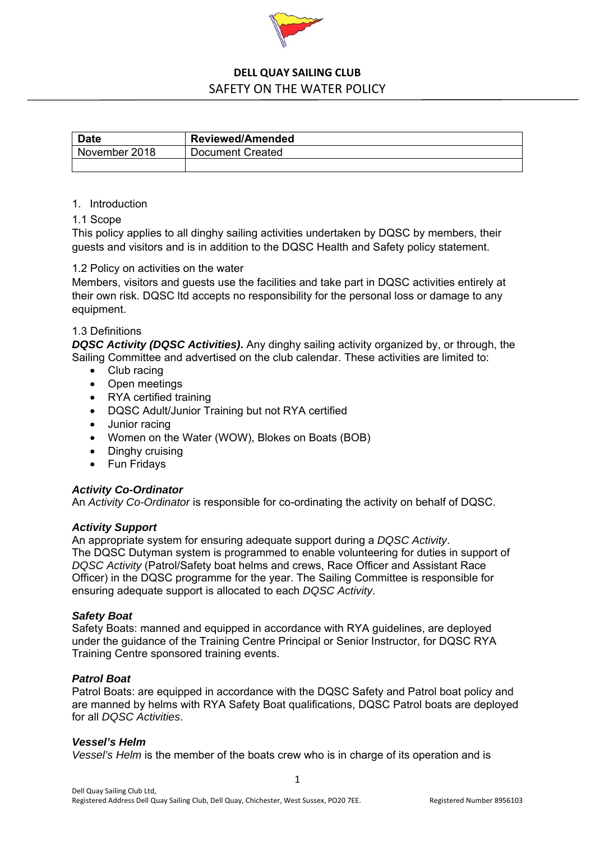

| <b>Date</b>   | <b>Reviewed/Amended</b> |
|---------------|-------------------------|
| November 2018 | Document Created        |
|               |                         |

### 1. Introduction

### 1.1 Scope

This policy applies to all dinghy sailing activities undertaken by DQSC by members, their guests and visitors and is in addition to the DQSC Health and Safety policy statement.

### 1.2 Policy on activities on the water

Members, visitors and guests use the facilities and take part in DQSC activities entirely at their own risk. DQSC ltd accepts no responsibility for the personal loss or damage to any equipment.

## 1.3 Definitions

*DQSC Activity (DQSC Activities)***.** Any dinghy sailing activity organized by, or through, the Sailing Committee and advertised on the club calendar. These activities are limited to:

- Club racing
- Open meetings
- RYA certified training
- DQSC Adult/Junior Training but not RYA certified
- Junior racing
- Women on the Water (WOW), Blokes on Boats (BOB)
- Dinghy cruising
- Fun Fridays

#### *Activity Co-Ordinator*

An *Activity Co-Ordinator* is responsible for co-ordinating the activity on behalf of DQSC.

#### *Activity Support*

An appropriate system for ensuring adequate support during a *DQSC Activity*. The DQSC Dutyman system is programmed to enable volunteering for duties in support of *DQSC Activity* (Patrol/Safety boat helms and crews, Race Officer and Assistant Race Officer) in the DQSC programme for the year. The Sailing Committee is responsible for ensuring adequate support is allocated to each *DQSC Activity*.

#### *Safety Boat*

Safety Boats: manned and equipped in accordance with RYA guidelines, are deployed under the guidance of the Training Centre Principal or Senior Instructor, for DQSC RYA Training Centre sponsored training events.

### *Patrol Boat*

Patrol Boats: are equipped in accordance with the DQSC Safety and Patrol boat policy and are manned by helms with RYA Safety Boat qualifications, DQSC Patrol boats are deployed for all *DQSC Activities*.

#### *Vessel's Helm*

*Vessel's Helm* is the member of the boats crew who is in charge of its operation and is

1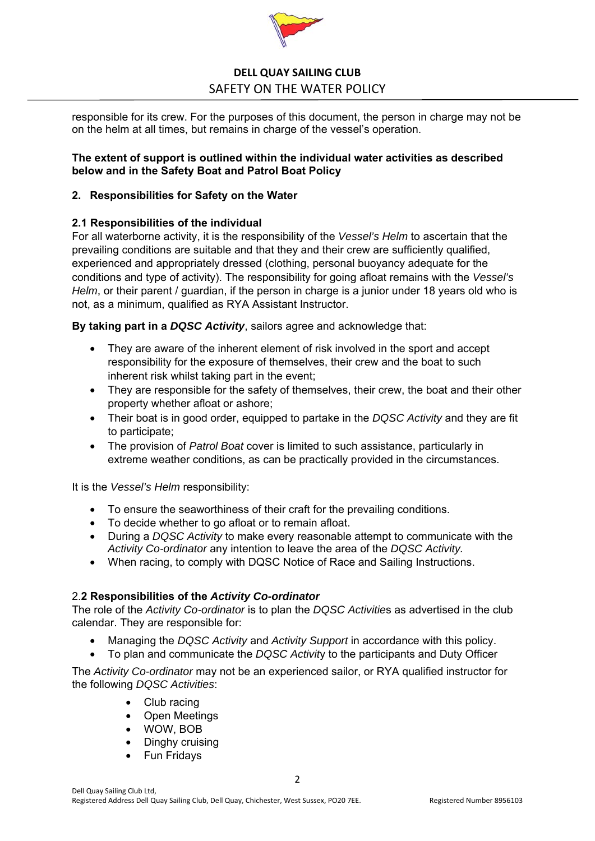

responsible for its crew. For the purposes of this document, the person in charge may not be on the helm at all times, but remains in charge of the vessel's operation.

## **The extent of support is outlined within the individual water activities as described below and in the Safety Boat and Patrol Boat Policy**

## **2. Responsibilities for Safety on the Water**

## **2.1 Responsibilities of the individual**

For all waterborne activity, it is the responsibility of the *Vessel's Helm* to ascertain that the prevailing conditions are suitable and that they and their crew are sufficiently qualified, experienced and appropriately dressed (clothing, personal buoyancy adequate for the conditions and type of activity). The responsibility for going afloat remains with the *Vessel's Helm*, or their parent / guardian, if the person in charge is a junior under 18 years old who is not, as a minimum, qualified as RYA Assistant Instructor.

**By taking part in a** *DQSC Activity*, sailors agree and acknowledge that:

- They are aware of the inherent element of risk involved in the sport and accept responsibility for the exposure of themselves, their crew and the boat to such inherent risk whilst taking part in the event;
- They are responsible for the safety of themselves, their crew, the boat and their other property whether afloat or ashore;
- Their boat is in good order, equipped to partake in the *DQSC Activity* and they are fit to participate;
- The provision of *Patrol Boat* cover is limited to such assistance, particularly in extreme weather conditions, as can be practically provided in the circumstances.

It is the *Vessel's Helm* responsibility:

- To ensure the seaworthiness of their craft for the prevailing conditions.
- To decide whether to go afloat or to remain afloat.
- During a *DQSC Activity* to make every reasonable attempt to communicate with the *Activity Co-ordinator* any intention to leave the area of the *DQSC Activity.*
- When racing, to comply with DQSC Notice of Race and Sailing Instructions.

## 2.**2 Responsibilities of the** *Activity Co-ordinator*

The role of the *Activity Co-ordinator* is to plan the *DQSC Activitie*s as advertised in the club calendar. They are responsible for:

- Managing the *DQSC Activity* and *Activity Support* in accordance with this policy.
- To plan and communicate the *DQSC Activit*y to the participants and Duty Officer

The *Activity Co-ordinator* may not be an experienced sailor, or RYA qualified instructor for the following *DQSC Activities*:

- Club racing
- Open Meetings
- WOW, BOB
- Dinghy cruising
- **Fun Fridays**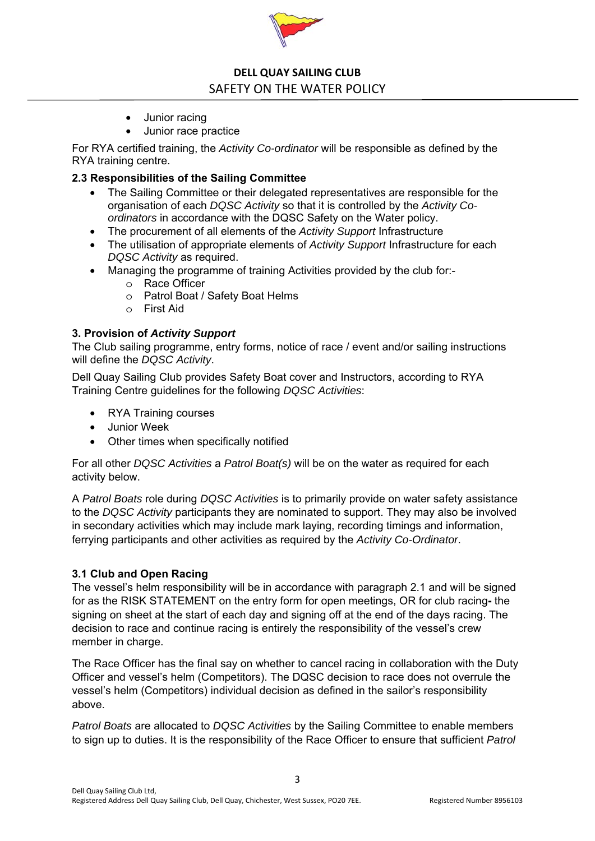

- Junior racing
- Junior race practice

For RYA certified training, the *Activity Co-ordinator* will be responsible as defined by the RYA training centre.

## **2.3 Responsibilities of the Sailing Committee**

- The Sailing Committee or their delegated representatives are responsible for the organisation of each *DQSC Activity* so that it is controlled by the *Activity Coordinators* in accordance with the DQSC Safety on the Water policy.
- The procurement of all elements of the *Activity Support* Infrastructure
- The utilisation of appropriate elements of *Activity Support* Infrastructure for each *DQSC Activity* as required.
- Managing the programme of training Activities provided by the club for:
	- o Race Officer
	- o Patrol Boat / Safety Boat Helms
	- o First Aid

## **3. Provision of** *Activity Support*

The Club sailing programme, entry forms, notice of race / event and/or sailing instructions will define the *DQSC Activity*.

Dell Quay Sailing Club provides Safety Boat cover and Instructors, according to RYA Training Centre guidelines for the following *DQSC Activities*:

- RYA Training courses
- Junior Week
- Other times when specifically notified

For all other *DQSC Activities* a *Patrol Boat(s)* will be on the water as required for each activity below.

A *Patrol Boats* role during *DQSC Activities* is to primarily provide on water safety assistance to the *DQSC Activity* participants they are nominated to support. They may also be involved in secondary activities which may include mark laying, recording timings and information, ferrying participants and other activities as required by the *Activity Co-Ordinator*.

## **3.1 Club and Open Racing**

The vessel's helm responsibility will be in accordance with paragraph 2.1 and will be signed for as the RISK STATEMENT on the entry form for open meetings, OR for club racing**-** the signing on sheet at the start of each day and signing off at the end of the days racing. The decision to race and continue racing is entirely the responsibility of the vessel's crew member in charge.

The Race Officer has the final say on whether to cancel racing in collaboration with the Duty Officer and vessel's helm (Competitors). The DQSC decision to race does not overrule the vessel's helm (Competitors) individual decision as defined in the sailor's responsibility above.

*Patrol Boats* are allocated to *DQSC Activities* by the Sailing Committee to enable members to sign up to duties. It is the responsibility of the Race Officer to ensure that sufficient *Patrol* 

3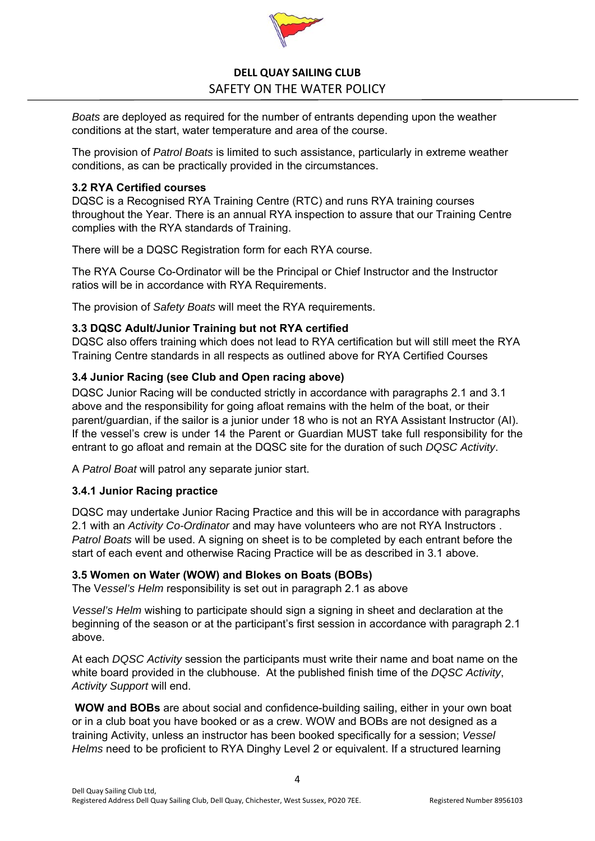

*Boats* are deployed as required for the number of entrants depending upon the weather conditions at the start, water temperature and area of the course.

The provision of *Patrol Boats* is limited to such assistance, particularly in extreme weather conditions, as can be practically provided in the circumstances.

## **3.2 RYA Certified courses**

DQSC is a Recognised RYA Training Centre (RTC) and runs RYA training courses throughout the Year. There is an annual RYA inspection to assure that our Training Centre complies with the RYA standards of Training.

There will be a DQSC Registration form for each RYA course.

The RYA Course Co-Ordinator will be the Principal or Chief Instructor and the Instructor ratios will be in accordance with RYA Requirements.

The provision of *Safety Boats* will meet the RYA requirements.

# **3.3 DQSC Adult/Junior Training but not RYA certified**

DQSC also offers training which does not lead to RYA certification but will still meet the RYA Training Centre standards in all respects as outlined above for RYA Certified Courses

## **3.4 Junior Racing (see Club and Open racing above)**

DQSC Junior Racing will be conducted strictly in accordance with paragraphs 2.1 and 3.1 above and the responsibility for going afloat remains with the helm of the boat, or their parent/guardian, if the sailor is a junior under 18 who is not an RYA Assistant Instructor (AI). If the vessel's crew is under 14 the Parent or Guardian MUST take full responsibility for the entrant to go afloat and remain at the DQSC site for the duration of such *DQSC Activity*.

A *Patrol Boat* will patrol any separate junior start.

## **3.4.1 Junior Racing practice**

DQSC may undertake Junior Racing Practice and this will be in accordance with paragraphs 2.1 with an *Activity Co-Ordinator* and may have volunteers who are not RYA Instructors . *Patrol Boats* will be used. A signing on sheet is to be completed by each entrant before the start of each event and otherwise Racing Practice will be as described in 3.1 above.

## **3.5 Women on Water (WOW) and Blokes on Boats (BOBs)**

The V*essel's Helm* responsibility is set out in paragraph 2.1 as above

*Vessel's Helm* wishing to participate should sign a signing in sheet and declaration at the beginning of the season or at the participant's first session in accordance with paragraph 2.1 above.

At each *DQSC Activity* session the participants must write their name and boat name on the white board provided in the clubhouse. At the published finish time of the *DQSC Activity*, *Activity Support* will end.

 **WOW and BOBs** are about social and confidence-building sailing, either in your own boat or in a club boat you have booked or as a crew. WOW and BOBs are not designed as a training Activity, unless an instructor has been booked specifically for a session; *Vessel Helms* need to be proficient to RYA Dinghy Level 2 or equivalent. If a structured learning

4